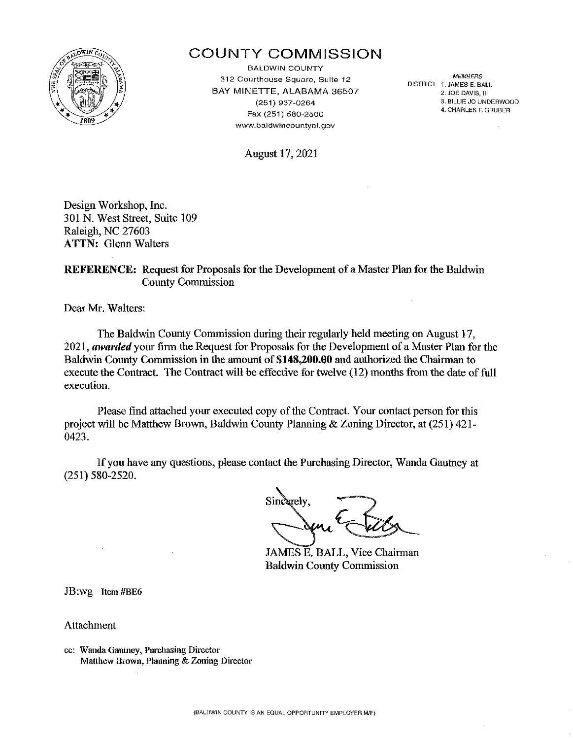

# COUNTY COMMISSION

BALDWIN COUNTY MEMBERS 312 Courthouse Square, Suite 12 BAY MINETTE, ALABAMA 36507' (251) 937-0264 Fax (251) 580-2500 www.baldwincountyal.gov

DISTRICT ·f. JAMES E. BALL 2. JOE DAVIS, Jll 3. BILLIE JO UNDERWOOD 4. CHARLES F. GRUBER

August 17, 2021

Design Workshop, Inc. 301 N. West Street, Suite 109 Raleigh, NC 27603 ATTN: Glenn Walters

REFERENCE: Request for Proposals for the Development of a Master Plan for the Baldwin County Commission

Dear Mr. Walters:

The Baldwin County Commission during their regularly held meeting on August 17, 2021, *awarded* your firm the Request for Proposals for the Development of a Master Plan for the Baldwin County Commission in the amount of \$148,200.00 and authorized the Chairman to execute the Contract. The Contract will be effective for twelve (12) months from the date of full execution.

Please find attached your executed copy of the Contract. Your contact person for this project will be Matthew Brown, Baldwin County Planning & Zoning Director, at (251) 421- 0423.

If you have any questions, please contact the Purchasing Director, Wanda Gautney at (251) 580-2520.

Sincerely

JAMES E. BALL, Vice Chairman Baldwin County Commission

JB:wg Item #BE6

Attachment

cc: Wanda Gautney, Purchasing Director Matthew Brown, Planning & Zoning Director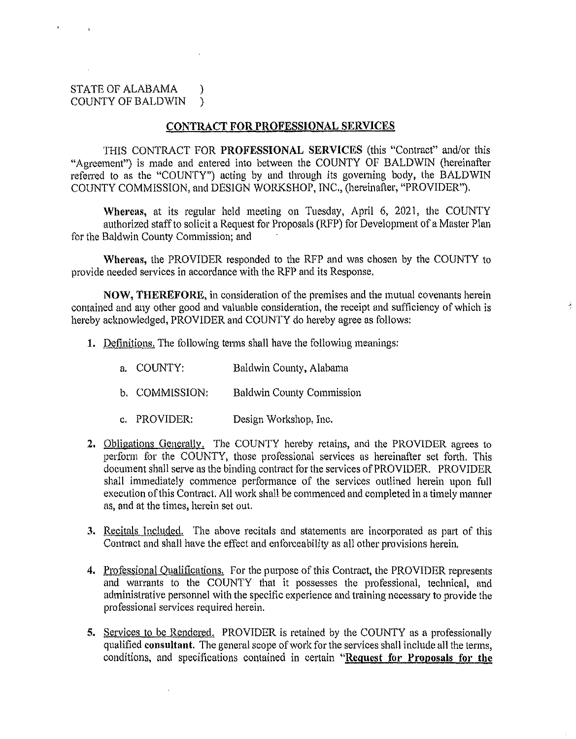# STATE OF ALABAMA ) COUNTY OF BALDWIN )

# **CONTRACT FOR PROFESSIONAL SERVICES**

THIS CONTRACT FOR **PROFESSIONAL SERVICES** (this "Contract" and/or this "Agreement") is made and entered into between the COUNTY OF BALDWIN (hereinafter referred to as the "COUNTY") acting by and through its governing body, the BALDWIN COUNTY COMMISSION, and DESIGN WORKSHOP, INC., (hereinafter, "PROVIDER").

Whereas, at its regular held meeting on Tuesday, April 6, 2021, the COUNTY authorized staff to solicit a Request for Proposals (RFP) for Development of a Master Plan for the Baldwin County Commission; and

Whereas, the PROVIDER responded to the RFP and was chosen by the COUNTY to provide needed services in accordance with the RFP and its Response.

**NOW, THEREFORE,** in consideration of the premises and the mutual covenants herein contained and any other good and valuable consideration, the receipt and sufficiency of which is hereby acknowledged, PROVIDER and COUNTY do hereby agree as follows:

- **1.** Definitions. The following terms shall have the following meanings:
	- a. COUNTY: Baldwin County, Alabama
	- b. COMMISSION: Baldwin County Commission
	- c. PROVIDER: Design Workshop, Inc.
- 2. Obligations Generally. The COUNTY hereby retains, and the PROVIDER agrees to perform for the COUNTY, those professional services as hereinafter set forth. This document shall serve as the binding contract for the services of PROVIDER. PROVIDER shall immediately commence performance of the services outlined herein upon full execution of this Contract. All work shall be commenced and completed in a timely manner as, and at the times, herein set out.
- **3.** Recitals Included. The above recitals and statements are incorporated as part of this Contract and shall have the effect and enforceability as all other provisions herein.
- 4. Professional Qualifications. For the purpose of this Contract, the PROVIDER represents and warrants to the COUNTY that it possesses the professional, technical, and administrative personnel with the specific experience and training necessary to provide the professional services required herein.
- 5. Services to be Rendered. PROVIDER is retained by the COUNTY as a professionally qualified **consultant.** The general scope of work for the services shall include all the terms, conditions, and specifications contained in certain "Request for Proposals for the

 $\bar{z}$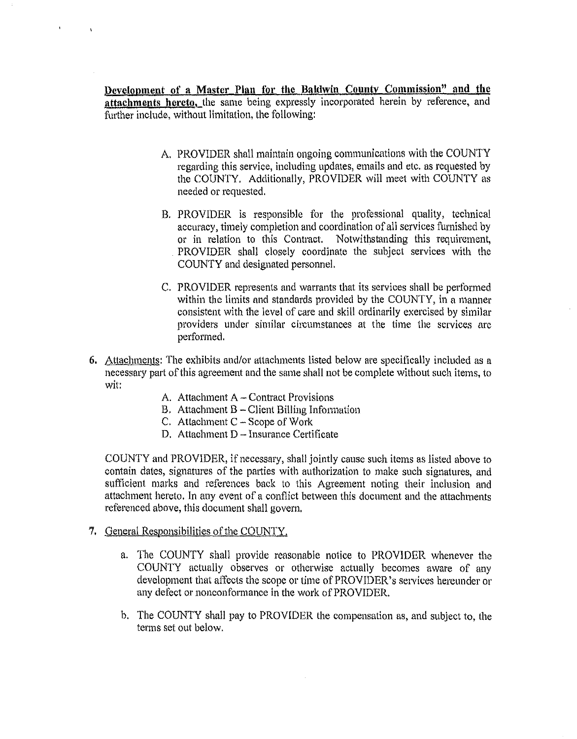**Development of a Master Plan for the Baldwin County Commission" and the attachments hereto,** the same being expressly incorporated herein by reference, and further include, without limitation, the following:

- A. PROVIDER shall maintain ongoing communications with the COUNTY regarding this service, including updates, emails and etc. as requested by the COUNTY. Additionally, PROVIDER will meet with COUNTY as needed or requested.
- B. PROVIDER is responsible for the professional quality, technical accuracy, timely completion and coordination of all services furnished by or in relation to this Contract. Notwithstanding this requirement, PROVIDER shall closely coordinate the subject services with the COUNTY and designated personnel.
- C. PROVIDER represents and warrants that its services shall be performed within the limits and standards provided by the COUNTY, in a manner consistent with the level of care and skill ordinarily exercised by similar providers under similar circumstances at the time the services are performed.
- 6. Attachments: The exhibits and/or attachments listed below are specifically included as a necessary part of this agreement and the same shall not be complete without such items, to wit:
	- A. Attachment A Contract Provisions
	- B. Attachment  $B -$  Client Billing Information
	- C. Attachment  $C -$  Scope of Work
	- D. Attachment D Insurance Certificate

COUNTY and PROVIDER, if necessary, shall jointly cause such items as listed above to contain dates, signatures of the patties with authorization to make such signatures, and sufficient marks and references back to this Agreement noting their inclusion and attachment hereto. In any event of a conflict between this document and the attachments referenced above, this document shall govern.

# 7. General Responsibilities of the COUNTY.

 $\overline{1}$ 

- a. The COUNTY shall provide reasonable notice to PROVIDER whenever the COUNTY actually observes or otherwise actually becomes aware of any development that affects the scope or time of PROVIDER's services hereunder or any defect or nonconfonnance in the work of PROVIDER.
- h. The COUNTY shall pay to PROVIDER the compensation as, and subject to, the terms set out below.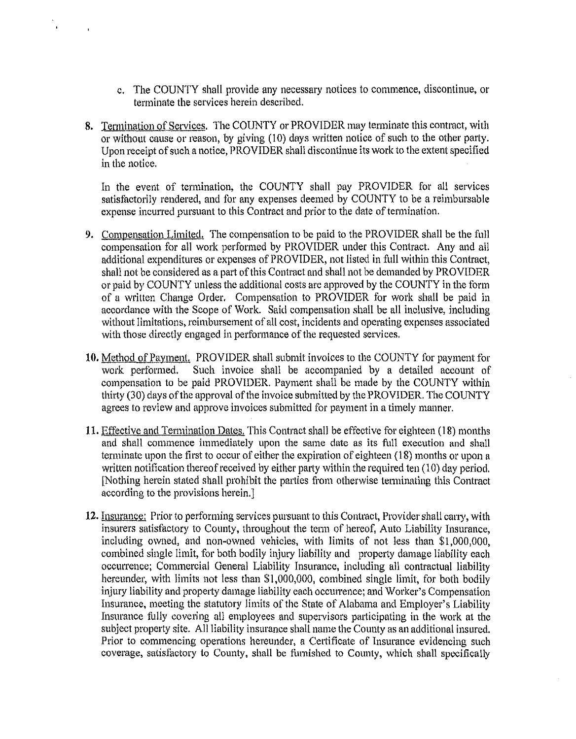- c. The COUNTY shall provide any necessary notices to commence, discontinue, or terminate the services herein described.
- 8. Termination of Services. The COUNTY or PROVIDER may terminate this contract, with or without cause or reason, by giving (10) days written notice of such to the other party. Upon receipt of such a notice, PROVIDER shall discontinue its work to the extent specified in the notice.

In the event of termination, the COUNTY shall pay PROVIDER for all services satisfactorily rendered, and for any expenses deemed by COUNTY to be a reimbursable expense incurred pursuant to this Contract and prior to the date of termination.

- 9. Compensation Limited. The compensation to be paid to the PROVIDER shall be the full compensation for all work performed by PROVIDER under this Contract. Any and all additional expenditures or expenses of PROVIDER, not listed in full within this Contract, shall not be considered as a part of this Contract and shall not be demanded by PROVIDER or paid by COUNTY unless the additional costs are approved by the COUNTY in the form of a written Change Order. Compensation to PROVIDER for work shall be paid in accordance with the Scope of Work. Said compensation shall be all inclusive, including without limitations, reimbursement of all cost, incidents and operating expenses associated with those directly engaged in performance of the requested services.
- 10. Method of Payment. PROVIDER shall submit invoices to the COUNTY for payment for work performed. Such invoice shall be accompanied by a detailed account of compensation to be paid PROVIDER. Payment shall be made by the COUNTY within thirty (30) days of the approval of the invoice submitted by the PROVIDER. The COUNTY agrees to review and approve invoices submitted for payment in a timely manner.
- 11. Effective and Termination Dates. This Contract shall be effective for eighteen (18) months and shall commence immediately upon the same date as its full execution and shall terminate upon the first to occur of either the expiration of eighteen (18) months or upon a written notification thereof received by either party within the required ten (10) day period. [Nothing herein stated shall prohibit the parties from otherwise terminating this Contract according to the provisions herein.]
- 12. Insurance: Prior to performing services pursuant to this Contract, Provider shall carry, with insurers satisfactory to County, throughout the tenn of hereof, Auto Liability Insurance, including owned, and non-owned vehicles, with limits of not less than \$1,000,000, combined single limit, for both bodily injury liability and property damage liability each occurrence; Commercial General Liability Insurance, including all contractual liability hereunder, with limits not less than \$1,000,000, combined single limit, for both bodily injury liability and property damage liability each occurrence; and Worker's Compensation Insurance, meeting the statutory limits of the State of Alabama and Employer's Liability Insurance folly covering all employees and supervisors participating in the work at the subject property site. All liability insurance shall name the County as an additional insured. Prior to cmmnencing operations hereunder, a Certificate of Insurance evidencing such coverage, satisfactory to County, shall be famished to County, which shall specifically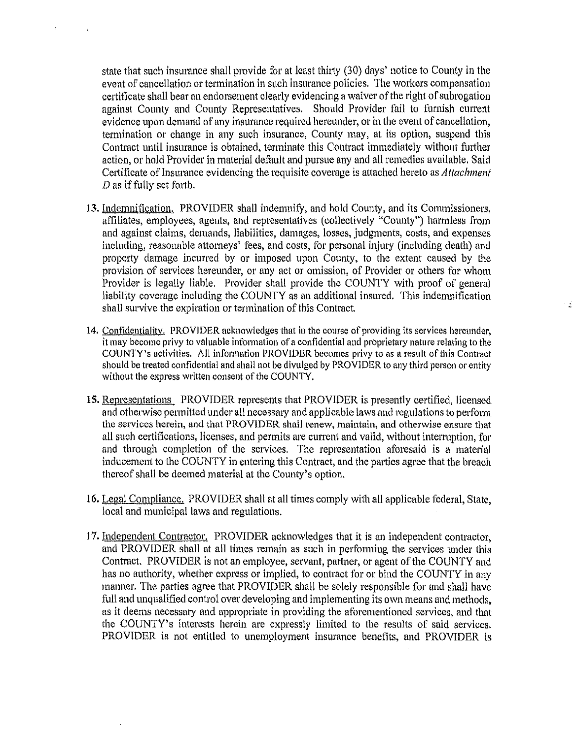state that such insurance shall provide for at least thirty (30) days' notice to County in the event of cancellation or termination in such insurance policies. The workers compensation certificate shall bear an endorsement clearly evidencing a waiver of the right of subrogation against County and County Representatives. Should Provider fail to furnish current evidence upon demand of any insurance required hereunder, or in the event of cancellation, termination or change in any such insurance, County may, at its option, suspend this Contract until insurance is obtained, terminate this Contract immediately without further action, or hold Provider in material default and pursue any and all remedies available. Said Certificate of lnsunmce evidencing the requisite coverage is attached hereto as *Attachment*  D as if fully set forth.

- 13. Indemnification. PROVIDER shall indemnify, and hold County, and its Commissioners, affiliates, employees, agents, and representatives (collectively "County") harmless from and against claims, demands, liabilities, damages, losses, judgments, costs, and expenses including, reasonable attorneys' fees, and costs, for personal injury (including death) and property damage incurred by or imposed upon County, to the extent caused by the provision of services hereunder, or any act or omission, of Provider or others for whom Provider is legally liable. Provider shall provide the COUNTY with proof of general liability coverage including the COUNTY as an additional insured. This indemnification shall survive the expiration or termination of this Contract.
- 14. Confidentiality. PROVIDER acknowledges that in the course of providing its services hereunder, it may become privy to valuable information of a confidential and proprietary nature relating to the COUNTY'S activities. All information PROVIDER becomes privy to as a result of this Contract should be treated confidential and shall not be divulged by PROVIDER to any third person or entity without the express written consent of the COUNTY.
- 15. Representations PROVIDER represents that PROVIDER is presently certified, licensed and otherwise permitted under all necessary and applicable laws and regulations to perform the services herein, and that PROVIDER shall renew, maintain, and otherwise ensure that all such certifications, licenses, and permits are current and valid, without interruption, for and through completion of the services. The representation aforesaid is a material inducement to the COUNTY in entering this Contract, and the parties agree that the breach thereof shall be deemed material at the County's option.
- 16. Legal Compliance. PROVIDER shall at all times comply with all applicable federal, State, local and municipal laws and regulations.
- 17. Independent Contractor. PROVIDER acknowledges that it is an independent contractor, and PROVIDER shall at all times remain as such in performing the services under this Contract. PROVIDER is not an employee, servant, partner, or agent of the COUNTY and has no authority, whether express or implied, to contract for or bind the COUNTY in any manner. The parties agree that PROVIDER shall be solely responsible for and shall have full and unqualified control over developing and implementing its own means and methods, as it deems necessary and appropriate in providing the aforementioned services, and that the COUNTY's interests herein are expressly limited to the results of said services. PROVIDER is not entitled to unemployment insurance benefits, and PROVIDER is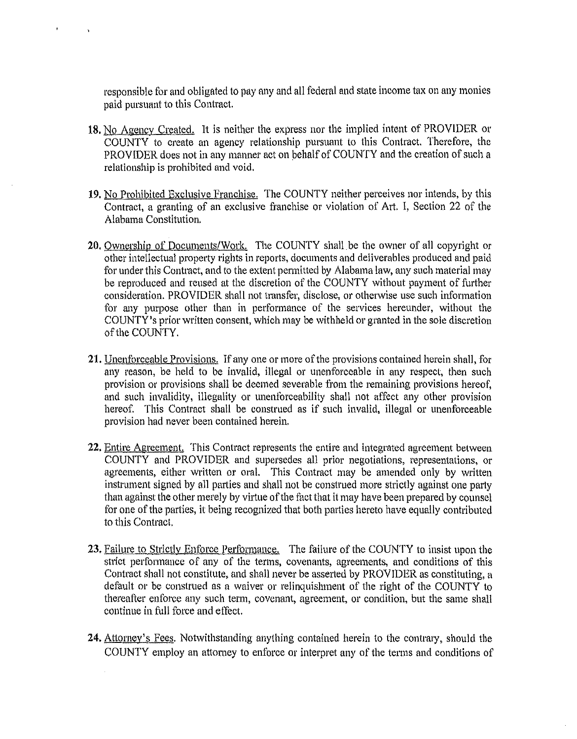responsible for and obligated to pay any and all federal and state income tax on any monies paid pursuant to this Contract.

- **18.** No Agency Created. It is neither the express nor the implied intent of PROVIDER or COUNTY to create an agency relationship pursuant to this Contract. Therefore, the PROVIDER does not in any manner act on pehalf of COUNTY and the creation of such a relationship is prohibited and void.
- **19.** No Prohibited Exclusive Franchise. The COUNTY neither perceives nor intends, by this Contract, a granting of an exclusive franchise or violation of Art. I, Section 22 of the Alabama Constitution.
- **20.** Ownership of Documents/Work. The COUNTY shall be the owner of all copyright or other intellectual property rights in reports, documents and deliverables produced and paid for under this Contract, and to the extent permitted by Alabama law, any such material may be reproduced and reused at the discretion of the COUNTY without payment of further consideration. PROVIDER shall not transfer, disclose, or otherwise use such information for any purpose other than in performance of the services hereunder, without the COUNTY's prior written consent, which may be withheld or granted in the sole discretion of the COUNTY.
- 21. Unenforceable Provisions. If any one or more of the provisions contained herein shall, for any reason, be held to be invalid, illegal or unenforceable in any respect, then such provision or provisions shall be deemed severable from the remaining provisions hereof, and such invalidity, illegality or tmenforceability shall not affect any other provision hereof. This Contract shall be construed as if such invalid, illegal or unenforceable provision had never been contained herein.
- 22. Entire Agreement. This Contract represents the entire and integrated agreement between COUNTY and PROVIDER and supersedes all prior negotiations, representations, or agreements, either written or oral. This Contract may be amended only by written instrument signed by all parties and shall not be construed more strictly against one party than against the other merely by virtue of the fact that it may have been prepared by counsel for one of the parties, it being recognized that both parties hereto have equally contributed to this Contract.
- 23. Failure to Strictly Enforce Performance. The failure of the COUNTY to insist upon the strict performance of any of the terms, covenants, agreements, and conditions of this Contract shall not constitute, and shall never be asserted by PROVIDER as constituting, a default or be construed as a waiver or relinquishment of the right of the COUNTY to thereafter enforce any such term, covenant, agreement, or condition, but the same shall continue in full force and effect.
- **24.** Attorney's Fees. Notwithstanding anything contained herein to the contrary, should the COUNTY employ an attorney to enforce or interpret any of the terms and conditions of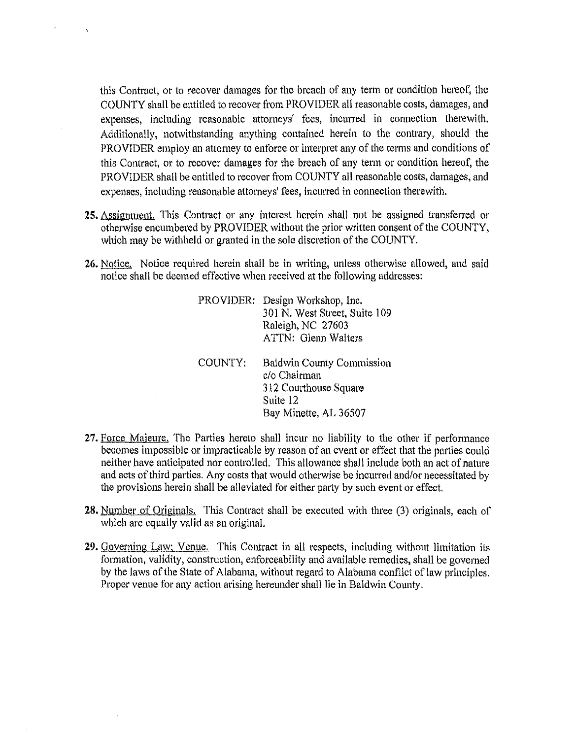this Contract, or to recover damages for the breach of any term or condition hereof, the COUNTY shall be entitled to recover from PROVIDER all reasonable costs, damages, and expenses, including reasonable attorneys' fees, incurred in connection therewith. Additionally, notwithstanding anything contained herein to the contrary, should the PROVIDER employ an attorney to enforce or interpret any of the terms and conditions of this Contract, or to recover damages for the breach of any term or condition hereof, the PROVIDER shall be entitled to recover from COUNTY all reasonable costs, damages, and expenses, including reasonable attorneys' fees, incurred in connection therewith.

- **25.** Assignment. This Contract or any interest herein shall not be assigned transferred or otherwise encumbered by PROVIDER without the prior written consent of the COUNTY, which may be withheld or granted in the sole discretion of the COUNTY.
- 26. Notice. Notice required herein shall be in writing, unless otherwise allowed, and said notice shall be deemed effective when received at the following addresses:

| PROVIDER: | Design Workshop, Inc.<br>301 N. West Street, Suite 109<br>Raleigh, NC 27603<br>ATTN: Glenn Walters             |
|-----------|----------------------------------------------------------------------------------------------------------------|
| COUNTY:   | <b>Baldwin County Commission</b><br>c/o Chairman<br>312 Courthouse Square<br>Suite 12<br>Bay Minette, AL 36507 |

- 27. Force Majeure. The Parties hereto shall incur no liability to the other if performance becomes impossible or impracticable by reason of an event or effect that the parties could neither have anticipated nor controlled. This allowance shall include both an act of nature and acts of third parties. Any costs that would otherwise be incurred and/or necessitated by the provisions herein shall be alleviated for either party by such event or effect.
- **28.** Number of Originals. This Contract shall be executed with three (3) originals, each of which are equally valid as an original.
- **29.** Governing Law; Venue. This Contract in all respects, including without limitation its formation, validity, construction, enforceability and available remedies, shall be governed by the Jaws of the State of Alabama, without regard to Alabama conflict of law principles. Proper venue for any action arising hereunder shall lie in Baldwin County.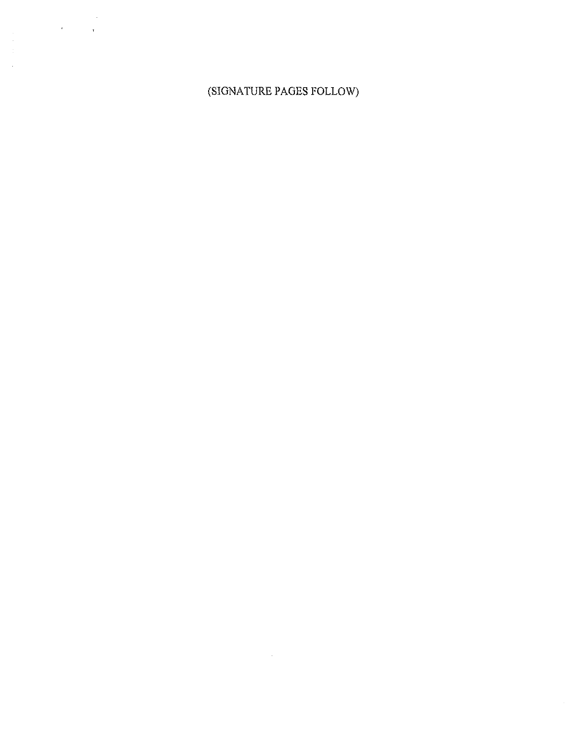# (SIGNATURE PAGES FOLLOW)

 $\sim 0.1$ 

 $\sim$   $\sim$ 

 $\mathbf{r}$ 

 $\hat{\mathbf{r}}$ 

 $\frac{1}{2}$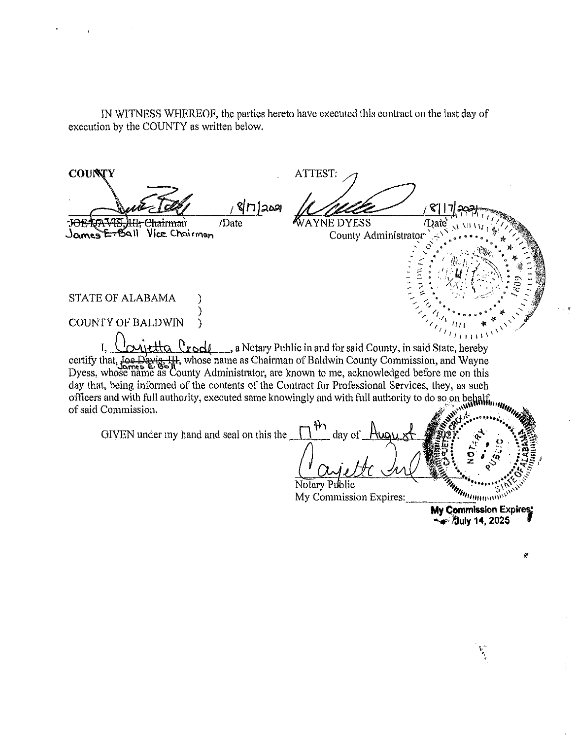IN WITNESS WHEREOF, the parties hereto have executed this contract on the last day of execution by the COUNTY as written below.

ATTEST:  $\mathcal{J}$ 1 EXECUTION OF THE STRANGE OF THE STRANGE OF THE STRANGE OF THE STRANGE OF THE STRANGE OF THE STRANGE OF THE STRANGE OF THE STRANGE OF THE STRANGE OF THE STRANGE OF THE STRANGE OF THE STRANGE OF THE STRANGE OF THE STRANGE OF  $\mathcal{O}^*$  $\frac{1}{2}$   $\geq$   $\frac{1}{2}$   $\leq$   $\frac{1}{2}$   $\leq$   $\frac{1}{2}$   $\leq$   $\frac{1}{2}$   $\leq$   $\frac{1}{2}$   $\leq$   $\frac{1}{2}$   $\leq$   $\frac{1}{2}$   $\leq$   $\frac{1}{2}$   $\leq$   $\frac{1}{2}$   $\leq$   $\frac{1}{2}$   $\leq$   $\frac{1}{2}$   $\leq$   $\frac{1}{2}$   $\leq$   $\frac{1}{2}$   $\le$ 1 .r :," *!* ~:-.\_ **e** ~ :  $\frac{1}{2}$  ,  $\frac{1}{2}$  ,  $\frac{1}{2}$  ,  $\frac{1}{2}$  ,  $\frac{1}{2}$  ,  $\frac{1}{2}$  ,  $\frac{1}{2}$  ,  $\frac{1}{2}$  ,  $\frac{1}{2}$  ,  $\frac{1}{2}$  ,  $\frac{1}{2}$  ,  $\frac{1}{2}$  ,  $\frac{1}{2}$  ,  $\frac{1}{2}$  ,  $\frac{1}{2}$  ,  $\frac{1}{2}$  ,  $\frac{1}{2}$  ,  $\frac{1}{2}$  ,  $\frac{1$ - ::. . , '" / / <sup>\*</sup> / \* 0 - \* 2 ,.,.. ·:::· .. . ·~ *...* :-' \ ' ...... *::::* ... <sup>~</sup>  $\begin{array}{cc}\n\text{STATE OF ALABAMA} \\
\text{STATE OF ALABAMA}\n\end{array}$ COUNTY OF BALDWIN  $\frac{1}{111}$  ,  $\frac{1}{111}$  ,  $\frac{1}{111}$  ,  $\frac{1}{111}$  ,  $\frac{1}{111}$  ,  $\frac{1}{111}$  ,  $\frac{1}{111}$  ,  $\frac{1}{111}$  ,  $\frac{1}{111}$  ,  $\frac{1}{111}$  ,  $\frac{1}{111}$  ,  $\frac{1}{111}$  ,  $\frac{1}{111}$  ,  $\frac{1}{111}$  ,  $\frac{1}{111}$  ,  $\frac{1}{111}$ (\ • **<sup>1</sup> <sup>1111</sup>**'\ \\ I, <u>Convetta Creel</u> a Notary Public in and for said County, in said State, hereby certify that, Joe Davig, III, whose name as Chairman of Baldwin County Commission, and Wayne Dyess, whose name as County Administrator, are known to me, acknowledged before me on this day that, being informed of the contents of the Contract for Professional Services, they, as such officers and with full authority, executed same knowingly and with full authority to do so on behalf, of said Commission.  $\mathcal{A}^{\mathcal{P}}$ **th**  $\begin{bmatrix} 1 & 0 & 0 \end{bmatrix}$ GIVEN under my hand and seal on this the  $\prod_{i=1}^{n}$  day of August Computer of the Computer of the Computer of the Computer of the Computer of the Computer of the Computer of the Computer of the Computer of the Computer of the Computer of the Computer of the Computer of the Compute **f. <sup>0</sup> -V . 11** "'{' *:;::-* <sup>f</sup> <u>; elte Inflation of the state</u> Notary Public<br>My Commission Expires: ' .•. •• • ....... . **otary t 1c** ~9" · •••••·•. \ ~"" , ...... ... . . . ~,,, **<sup>5</sup>**,,\, My Comm1ss1on Expires:\_ *111111111"'"'''·*  **My Commission Expires:** ... ., **T.luly 14, 2025 r**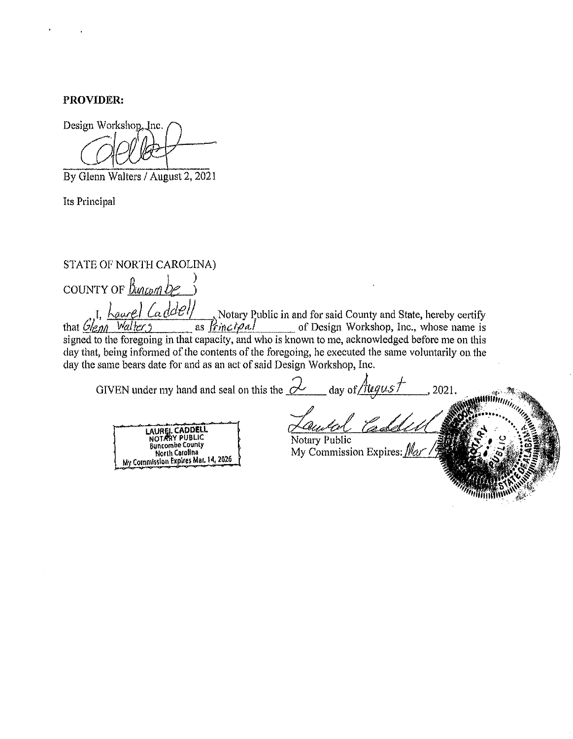**PROVIDER:** 

Design Workshop, Inc.

By Glenn Walters / August 2, 2021

Its Principal

# STATE OF NORTH CAROLINA)

couNTY OF *Bu11cp11 be* j  $I_{\rm c}$ , I,  $\frac{1}{2}$  *La.*  $\frac{d}{d\ell}$  /  $\frac{d}{d\ell}$  Notary Public in and for said County and State, hereby certify that *Gleon* Walter, 2 as *frincipal* of Design Workshop, Inc., whose name is signed to the foregoing in that capacity, and who is known to me, acknowledged before me on this day that, being informed of the contents of the foregoing, he executed the same voluntarily on the clay the same bears date for and as an act of said Design Workshop, Inc.

GIVEN under my hand and seal on this the  $\alpha$  day of *August* 

LAUREL CADDELL<br>NOTARY PUBLIC **Buncombe Counly** Norlh Carolina My Commission Expires Mar. 14, 2026

Notary Public  $My$  Commission Expires:  $Mar$ .

, 2021.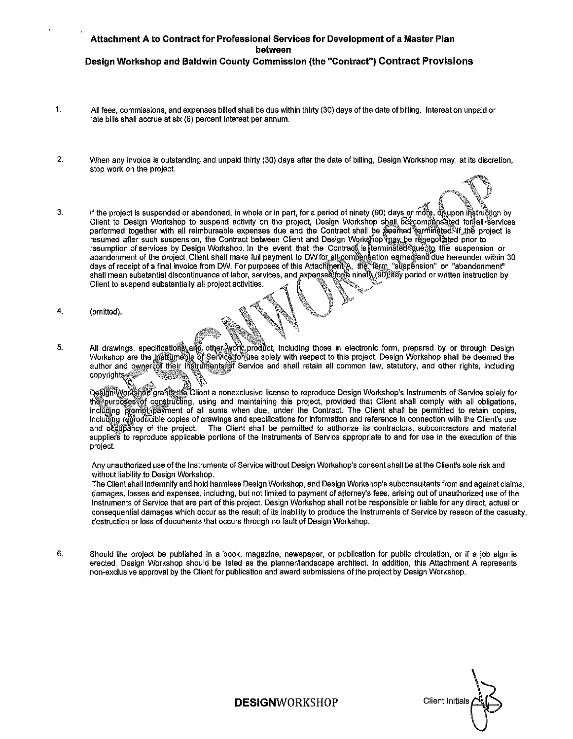#### **Attachment A to Contract for Professional Services for Development of a Master Plan between Design Workshop and Baldwin County Commission (the "Contract") Contract Provisions**

- 1. All fees, commissions, and expenses billed shall be due within thirty (30) days of the date of billing. Interest on unpaid or late bills shall accrue at six (6) percent interest per annum.
- 2. When any invoice is outstanding and unpaid thirty (30) days after the date of billing, Design Workshop may, at its discretion, stop work on the project.
- 3. If the project is suspended or abandoned, in whole or in part, for a period of ninety (90) days or more, of upon instruction by Client to Design Workshop to suspend activity on the project, Design Workshop shall be compensated for all services performed together with all reimbursable expenses due and the Contract shall be .deemed terminated that the project is resumed after such suspension, the Contract between Client and Design Workshop আৰু .be reneotiated prior to resumption of services by Design Workshop. In the event that the Contract<sub>ia</sub> is fterminated প্ৰূueঞ্চ the suspension or abandonment of the project, Client shall make full payment to DW for all compensation earnedjand due hereunder within 30 days of receipt of a final invoice from DW. For purposes of this Attachment公, the term \_"suspension" or "abandonment" shall mean substantial discontinuance of labor, services, and expenses forta ninety,(90);day period or written instruction by Client to suspend substantially all project activities.

~~ \\ ~-

- 4. (omitted).  $\mathbb{A} \mathbb{R} \mathbb{N} \mathbb{N}$ .
- 5. All drawings, specifications and other work product, including those in electronic form, prepared by or through Design Workshop are the Instruments of Service for the solely with respect to this project. Design Workshop shall be deemed the author and owner of their Instruments of Service and shall retain all common law, statutory, and other rights, including copyrights

Design Workshop grafts the Client a nonexclusive license to reproduce Design Workshop's Instruments of Service solely for the purposes of constructing, using and maintaining this project, provided that Client shall comply with all obligations, incidding prompt payment of all sums when due, under the Contract. The Client shall be permitted to retain copies, including reproducible copies of drawings and specifications for information and reference in connection with the Client's use and occupancy of the project. The Client shall be permitted to authorize its contractors, subcontractors and material suppliers to reproduce applicable portions of the Instruments of Service appropriate to and for use in the execution of this project.

Any unauthorized use of the Instruments of Service without Design Workshop's consent shall be at the Client's sole risk and without liability to Design Workshop.

The Client shall indemnify and hold harmless Design Workshop, and Design Workshop's subconsultants from and against claims, damages, losses and expenses, including, but not limited to payment of attorney's fees, arising out of unauthorized use of the Instruments of Service that are part of this project. Design Workshop shall not be responsible or liable for any direct, actual or consequential damages which occur as the result of its inability to produce the Instruments of Service by reason of the casualty, destruction or loss of documents that occurs through no fault of Design Workshop.

6. Should the project be published in a book, magazine, newspaper, or publication for public circulation, or if a job sign is erected, Design Workshop should be listed as the planner/landscape architect. In addition, this Attachment A represents non-exclusive approval by the Client for publication and award submissions of the project by Design Workshop.

**Client Initials** 

 $\mathcal{M}$  . We see that

**DESIGNWORKSHOP**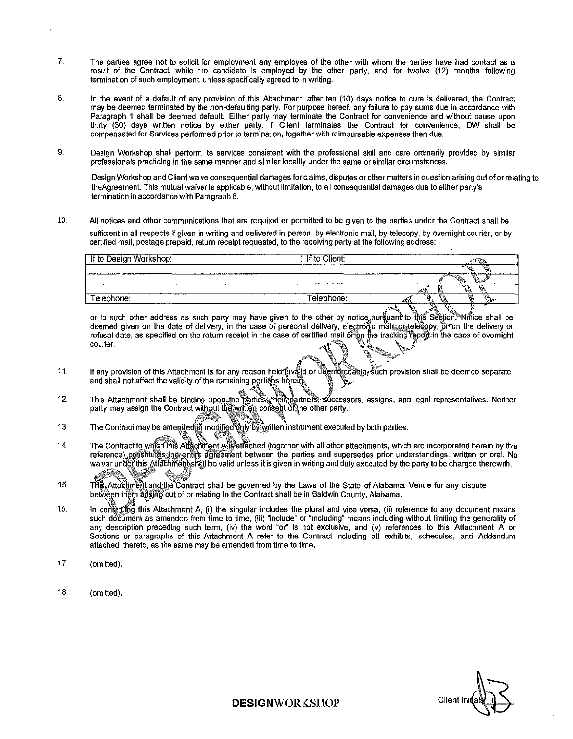- 7. The parties agree not to solicit for employment any employee of the other with whom the parties have had contact as a result of the Contract, while the candidate is employed by the other party, and for twelve (12) months following termination of such employment, unless specifically agreed to in writing.
- 8. In the event of a default of any provision of this Attachment, after ten (10) days notice to cure is delivered, the Contract may be deemed terminated by the non-defaulting party. For purpose hereof, any failure to pay sums due in accordance with Paragraph 1 shall be deemed default. Either party may terminate the Contract for convenience and without cause upon thirty (30) days written notice by either party. If Client terminates the Contract for convenience, DW shall be **compensated for Services performed prior to termination, together with reimbursable expenses then due.**
- 9. Design Workshop shall perform its services consistent with the professional skill and care ordinarily provided by similar **professionals practicing in the same manner and similar locality under the same or similar circumstances.**

**Design Workshop and Client waive consequential damages for claims, disputes or other matters in question arising out of or relating to**  theAgreement. This mutual waiver is applicable, without limitation, to all consequential damages due to either party's **termination in accordance with Paragraph 8.** 

10. All notices and other communications that are required or permitted to be given to the parties under the Contract shall be **sufficient in all respects if given in writing and delivered in person, by electronic mail, by telecopy, by overnight courier, or by**  certified mail, postage prepaid, return receipt requested, to the receiving party at the following address:

| If to Design Workshop: | If to Client;                            |                           |
|------------------------|------------------------------------------|---------------------------|
|                        |                                          |                           |
| <b>Plantich Agent</b>  | www.forcesco.com/and-international-basic |                           |
|                        |                                          | s a<br>YА.<br>V.<br>AR BA |
| Telephone:             | Telephone.                               |                           |
|                        |                                          | لتشتريه<br>- - - - -      |

or to such other address as such party may have given to the other by notice ৣpurွိยµant to thை Section.<sup>∞</sup> Notice shall be deemed given on the date of delivery, in the case of personal delivery, electronic mail or telecopy, or on the delivery or refusal date, as specified on the return receipt in the case of certified mail of on the tracking report in the case of overnight courier courier. And the courier of  $\mathscr{A}^{\mathscr{A}}$  and  $\mathscr{A}^{\mathscr{A}}$ 

 $\mathscr{B}$  and  $\mathscr{B}$  . We set  $\mathscr{C}$ 

- 11. If any provision of this Attachment is for any reason held [nvalld or uৗৣenforceab]e, such provision shall be deemed separate<br>and shall not affect the validity of the remaining portions herein and shall not affect the validity of the remaining portions herein  $\mathbb{P}^*$
- 12. This Attachment shall be binding upon the parties, their partners, successors, assigns, and legal representatives. Neither party may assign the Contract without the written consent of the other party.
- 13. The Contract may be amended of modif
- 14. The Contract to with all Attachment Alls attached (together with all other attachments, which are incorporated herein by this reference) constitutes the entite agreement between the parties and supersedes prior understandings, written or oral. No waiver under this Attachmentshall be valid unless it is given in writing and duly executed by the party to be charged therewith. x~--
- 15. This Attactiment and the Contract shall be governed by the Laws of the State of Alabama. Venue for any dispute between them arising out of or relating to the Contract shall be in Baldwin County, Alabama.
- 16. In construing this Attachment A, (i) the singular includes the plural and vice versa, (ii) reference to any document means such document as amended from time to time, (iii) "include" or "including" means including without limiting the generality of any description preceding such term, (iv) the word "or" is not exclusive, and (v) references to this Attachment A or Sections or paragraphs of this Attachment A refer to the Contract including all exhibits, schedules, and Addendum attached thereto, as the same may be amended from time to time.
- 17. (omitted).
- 18. (omitted).

Client Ini

**DESIGNWORKSHOP**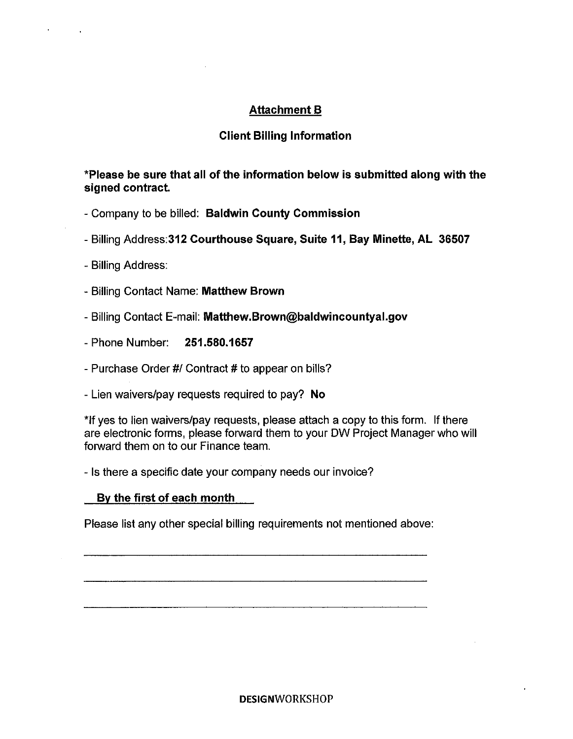# **Attachment B**

# **Client Billing Information**

**\*Please be sure that all of the information below is submitted along with the signed contract.** 

- Company to be billed: **Baldwin County Commission**
- Billing Address:312 **Courthouse Square, Suite 11, Bay Minette, AL 36507**
- Billing Address:
- Billing Contact Name: **Matthew Brown**
- Billing Contact E-mail: **Matthew.Brown@baldwincountyal.gov**
- Phone Number: **251.580.1657**
- Purchase Order #/ Contract # to appear on bills?
- Lien waivers/pay requests required to pay? **No**

\*If yes to lien waivers/pay requests, please attach a copy to this form. If there are electronic forms, please forward them to your OW Project Manager who will forward them on to our Finance team.

- Is there a specific date your company needs our invoice?

# **By the first of each month**

Please list any other special billing requirements not mentioned above: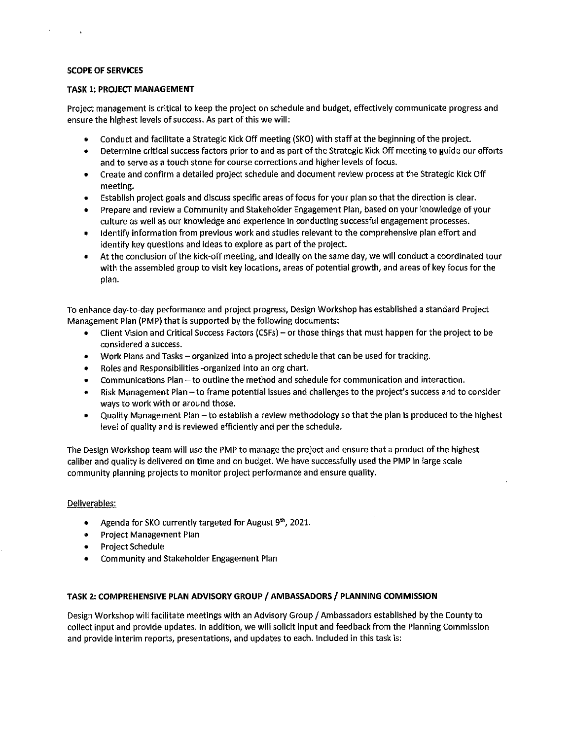#### **SCOPE OF SERVICES**

 $\sim 10^{-11}$ 

#### **TASK 1: PROJECT MANAGEMENT**

Project management is critical to keep the project on schedule and budget, effectively communicate progress and ensure the highest levels of success. As part of this we will:

- Conduct and facilitate a Strategic Kick Off meeting (SKO) with staff at the beginning of the project.
- Determine critical success factors prior to and as part of the Strategic Kick Off meeting to guide our efforts and to serve as a touch stone for course corrections and higher levels of focus.
- Create and confirm a detailed project schedule and document review process at the Strategic Kick Off meeting.
- Establish project goals and discuss specific areas of focus for your plan so that the direction is clear.
- Prepare and review a Community and Stakeholder Engagement Plan, based on your knowledge of your culture as well as our knowledge and experience in conducting successful engagement processes.
- Identify Information from previous work and studies relevant to the comprehensive plan effort and identify key questions and ideas to explore as part of the project.
- At the conclusion of the kick-off meeting, and ideally on the same day, we will conduct a coordinated tour with the assembled group to visit key locations, areas of potential growth, and areas of key focus for the plan.

To enhance day-to-day performance and project progress, Design Workshop has established a standard Project Management Plan (PMP) that is supported by the following documents:

- Client Vision and Critical Success Factors (CSFs) or those things that must happen for the project to be considered a success.
- Work Plans and Tasks organized into a project schedule that can be used for tracking.
- Roles and Responsibilities -organized Into an org chart.
- Communications Plan -to outline the method and schedule for communication and interaction.
- Risk Management Plan to frame potential issues and challenges to the project's success and to consider ways to work with or around those.
- Quality Management Plan -to establish a review methodology so that the plan is produced to the highest level of quality and is reviewed efficiently and per the schedule.

The Design Workshop team will use the PMP to manage the project and ensure that a product of the highest caliber and quality is delivered on time and on budget. We have successfully used the PMP in large scale community planning projects to monitor project performance and ensure quality.

#### Deliverables:

- Agenda for SKO currently targeted for August  $9<sup>th</sup>$ , 2021.
- Project Management Plan
- Project Schedule
- Community and Stakeholder Engagement Plan

#### **TASK 2: COMPREHENSIVE PLAN ADVISORY GROUP/ AMBASSADORS/ PLANNING COMMISSION**

Design Workshop will facilitate meetings with an Advisory Group I Ambassadors established by the County to collect Input and provide updates. In addition, we will solicit input and feedback from the Planning Commission and provide interim reports, presentations, and updates to each. Included in this task Is: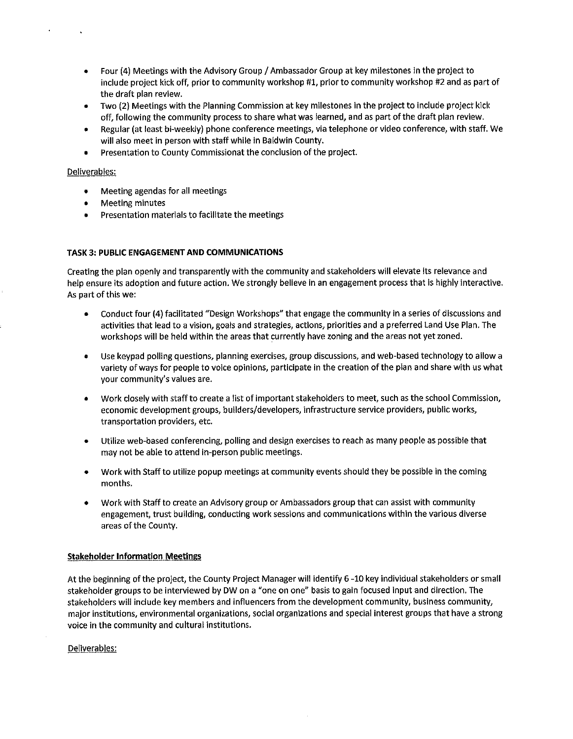- Four (4) Meetings with the Advisory Group I Ambassador Group at key milestones in the project to include project kick off, prior to community workshop **#1,** prior to community workshop #2 and as part of the draft plan review.
- Two (2) Meetings with the Planning Commission at key milestones in the project to include project kick off, following the community process to share what was learned, and as part of the draft plan review.
- Regular (at least bi-weekly) phone conference meetings, via telephone or video conference, with staff. We will also meet in person with staff while in Baldwin County.
- Presentation to County Commlssionat the conclusion of the project.

#### Deliverables:

 $\ddot{\phantom{0}}$ 

 $\bar{\mathbf{r}}$ 

- Meeting agendas for all meetings
- Meeting minutes
- Presentation materials to facilitate the meetings

# **TASK 3: PUBLIC ENGAGEMENT AND COMMUNICATIONS**

Creating the plan openly and transparently with the community and stakeholders will elevate its relevance and help ensure its adoption and future action. We strongly believe in an engagement process that Is highly interactive. As part of this we:

- Conduct four (4) facilitated "Design Workshops" that engage the community in a series of discussions and activities that lead to a vision, goals and strategies, actions, priorities and a preferred Land Use Plan. The workshops will be held within the areas that currently have zoning and the areas not yet zoned.
- Use keypad polling questions, planning exercises, group discussions, and web-based technology to allow a variety of ways for people to voice opinions, participate in the creation of the plan and share with us what your community's values are.
- Work closely with staff to create a list of important stakeholders to meet, such as the school Commission, economic development groups, builders/developers, infrastructure service providers, public works, transportation providers, etc.
- Utilize web-based conferencing, polling and design exercises to reach as many people as possible that may not be able to attend in-person public meetings.
- Work with Staff to utilize popup meetings at community events should they be possible in the coming months.
- Work with Staff to create an Advisory group or Ambassadors group that can assist with community engagement, trust building, conducting work sessions and communications within the various diverse areas of the County.

#### **Stakeholder Information Meetings**

At the beginning of the project, the County Project Manager will Identify 6 -10 key individual stakeholders or small stakeholder groups to be interviewed by DW on a "one on one" basis to gain focused Input and direction. The stakeholders will include key members and influencers from the development community, business community, major institutions, environmental organizations, social organizations and special interest groups that have a strong voice In the community and cultural institutions.

#### Deliverables: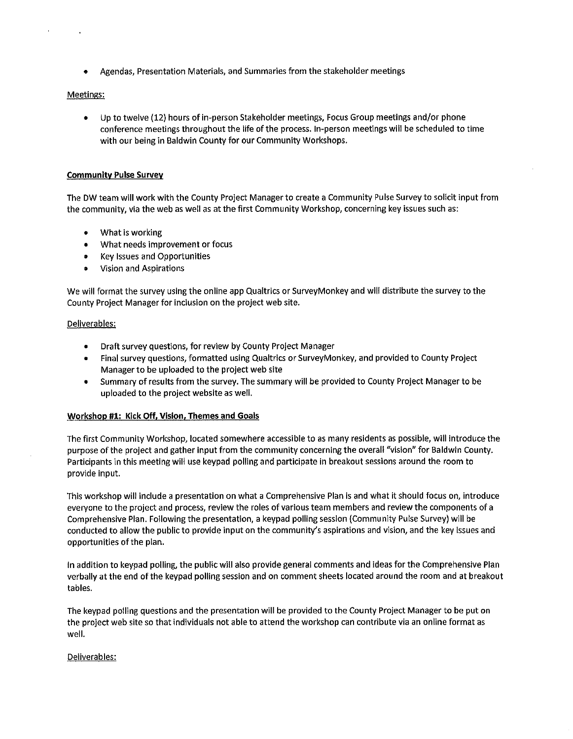• Agendas, Presentation Materials, and Summaries from the stakeholder meetings

#### Meetings:

 $\overline{\phantom{a}}$ 

• Up to twelve (12) hours of in-person Stakeholder meetings, Focus Group meetings and/or phone conference meetings throughout the life of the process. In-person meetings will be scheduled to time with our being in Baldwin County for our Community Workshops.

#### **Communitv Pulse Survey**

The DW team will work with the County Project Manager to create a Community Pulse Survey to solicit input from the community, via the web as well as at the first Community Workshop, concerning key issues such as:

- What is working
- What needs improvement or focus
- Key Issues and Opportunities
- Vision and Aspirations

We will format the survey using the online app Qualtrics or SurveyMonkey and will distribute the survey to the County Project Manager for inclusion on the project web site.

#### Deliverables:

- Draft survey questions, for review by County Project Manager
- Final survey questions, formatted using Qualtrics or SurveyMonkey, and provided to County Project Manager to be uploaded to the project web site
- Summary of results from the survey. The summary will be provided to County Project Manager to be uploaded to the project website as well.

# **Workshop #1: Kick Off, Vision, Themes and Goals**

The first Community Workshop, located somewhere accessible to as many residents as possible, will introduce the purpose of the project and gather input from the community concerning the overall "vision" for Baldwin County. Participants in this meeting will use keypad polling and participate in breakout sessions around the room to provide input.

This workshop will include a presentation on what a Comprehensive Plan Is and what it should focus on, introduce everyone to the project and process, review the roles of various team members and review the components of a Comprehensive Plan. Following the presentation, a keypad polling session (Community Pulse Survey) will be conducted to allow the public to provide input on the community's aspirations and vision, and the key issues and opportunities of the plan.

In addition to keypad polling, the public will also provide general comments and ideas for the Comprehensive Plan verbally at the end of the keypad polling session and on comment sheets located around the room and at breakout tables.

The keypad polling questions and the presentation will be provided to the County Project Manager to be put on the project web site so that individuals not able to attend the workshop can contribute via an online format as well.

# Deliverables: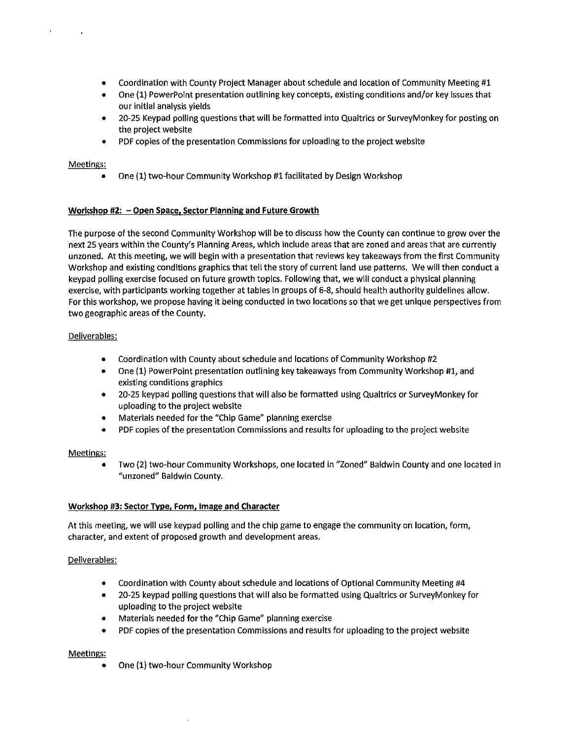- Coordination with County Project Manager about schedule and location of Community Meeting #1
- One (1) PowerPoint presentation outlining key concepts, existing conditions and/or key issues that our initial analysis yields
- 20-25 Keypad polling questions that will be formatted into Qualtrics or SurveyMonkey for posting on the project website
- PDF copies of the presentation Commissions for uploading to the project website

# Meetings:

 $\ddot{\phantom{1}}$ 

 $\sim$ 

• One (1) two-hour Community Workshop #1 facilitated by Design Workshop

# Workshop #2: - Open Space, Sector Planning and Future Growth

The purpose of the second Community Workshop will be to discuss how the County can continue to grow over the next 25 years within the County's Planning Areas, which include areas that are zoned and areas that are currently unzoned. At this meeting, we will begin with a presentation that reviews key takeaways from the first Community Workshop and existing conditions graphics that tell the story of current land use patterns. We will then conduct a keypad polling exercise focused on future growth topics. Following that, we will conduct a physical planning exercise, with participants working together at tables in groups of 6-8, should health authority guidelines allow. For this workshop, we propose having it being conducted in two locations so that we get unique perspectives from two geographic areas of the County.

# Deliverables:

- Coordination with County about schedule and locations of Community Workshop #2
- One (1) PowerPoint presentation outlining key takeaways from Community Workshop #1, and existing conditions graphics
- 20-25 keypad polling questions that will also be formatted using Qualtrics or SurveyMonkey for uploading to the project website
- Materials needed for the "Chip Game" planning exercise
- PDF copies of the presentation Commissions and results for uploading to the project website

# Meetings:

• Two (2) two-hour Community Workshops, one located in "Zoned" Baldwin County and one located in **"unzoned" Baldwin County.** 

# Workshop #3: Sector Type, Form, Image and Character

At this meeting, we will use keypad polling and the chip game to engage the community on location, form, character, and extent of proposed growth and development areas.

# Deliverables:

- Coordination with County about schedule and locations of Optional Community Meeting #4
- 20-25 keypad polling questions that will also be formatted using Qualtrics or SurveyMonkey for uploading to the project website
- Materials needed for the "Chip Game" planning exercise
- PDF copies of the presentation Commissions and results for uploading to the project website

# Meetings:

• One (1) two-hour Community Workshop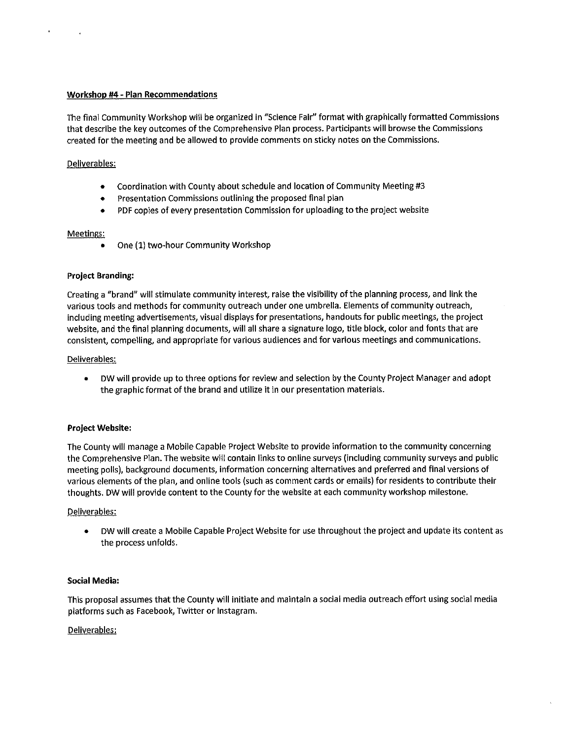#### **Workshop #4 • Plan Recommendations**

The final Community Workshop will be organized in "Science Fair" format with graphically formatted Commissions that describe the key outcomes of the Comprehensive Plan process. Participants will browse the Commissions created for the meeting and be allowed to provide comments on sticky notes on the Commissions.

# Deliverables:

 $\bullet$ 

- Coordination with County about schedule and location of Community Meeting #3
- Presentation Commissions outlining the proposed final plan
- PDF copies of every presentation Commission for uploading to the project website

#### Meetings:

• One (1) two-hour Community Workshop

#### **Project Branding:**

Creating a "brand" will stimulate community interest, raise the visibility of the planning process, and link the various tools and methods for community outreach under one umbrella. Elements of community outreach, including meeting advertisements, visual displays for presentations, handouts for public meetings, the project website, and the final planning documents, will all share a signature logo, title block, color and fonts that are consistent, compelling, and appropriate for various audiences and for various meetings and communications.

#### Deliverables:

• DW will provide up to three options for review and selection by the County Project Manager and adopt the graphic format of the brand and utilize it in our presentation materials.

#### **Project Website:**

The County will manage a Mobile Capable Project Website to provide information to the community concerning the Comprehensive Plan. The website will contain links to online surveys (including community surveys and public meeting polls), background documents, information concerning alternatives and preferred and final versions of various elements of the plan, and online tools (such as comment cards or emails) for residents to contribute their thoughts. DW will provide content to the County for the website at each community workshop milestone.

#### Deliverables:

• DW will create a Mobile Capable Project Website for use throughout the project and update its content as the process unfolds.

# **Social Media:**

This proposal assumes that the County will initiate and maintain a social media outreach effort using social media platforms such as Facebook, Twitter or Jnstagram.

#### Deliverables: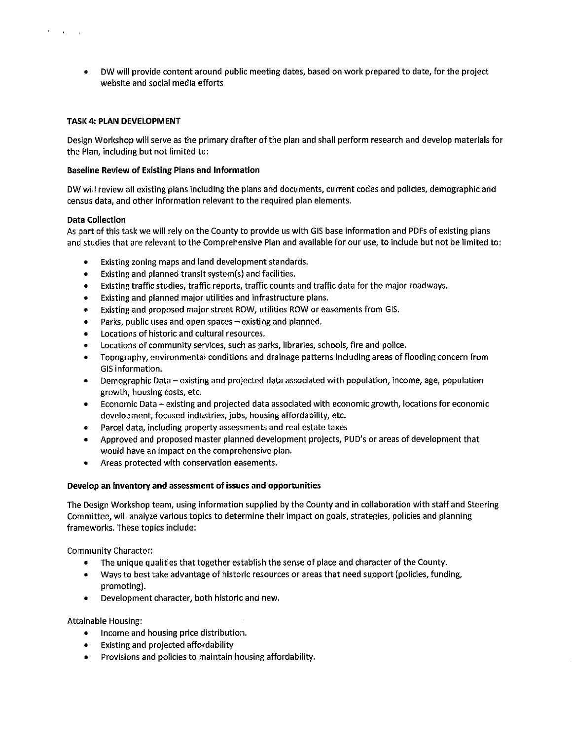• DW will provide content around public meeting dates, based on work prepared to date, for the project website and social media efforts

#### TASK 4: PLAN DEVELOPMENT

Design Workshop will serve as the primary drafter of the plan and shall perform research and develop materials for the Plan, including but not limited to:

#### Baseline Review of Existing Plans and Information

DW will review all existing plans including the plans and documents, current codes and policies, demographic and census data, and other information relevant to the required plan elements.

#### Data Collection

As part of this task we will rely on the County to provide us with GIS base information and PDFs of existing plans and studies that are relevant to the Comprehensive Plan and available for our use, to include but not be limited to:

- Existing zoning maps and land development standards.
- Existing and planned transit system(s) and facilities.
- Existing traffic studies, traffic reports, traffic counts and traffic data for the major roadways.
- Existing and planned major utilities and infrastructure plans.
- Existing and proposed major street ROW, utilities ROW or easements from GIS.
- Parks, public uses and open spaces  $-$  existing and planned.
- Locations of historic and cultural resources.
- Locations of community services, such as parks, libraries, schools, fire and police.
- Topography, environmental conditions and drainage patterns including areas of flooding concern from GIS information.
- Demographic Data existing and projected data associated with population, income, age, population growth, housing costs, etc.
- Economic Data existing and projected data associated with economic growth, locations for economic development, focused industries, jobs, housing affordability, etc.
- Parcel data, including property assessments and real estate taxes
- Approved and proposed master planned development projects, PUD's or areas of development that would have an impact on the comprehensive plan.
- Areas protected with conservation easements.

# Develop an inventory and assessment of issues and opportunities

The Design Workshop team, using information supplied by the County and in collaboration with staff and Steering Committee, will analyze various topics to determine their impact on goals, strategies, policies and planning frameworks. These topics include:

Community Character:

- The unique qualities that together establish the sense of place and character of the County.
- Ways to best take advantage of historic resources or areas that need support (policies, funding, promoting).
- Development character, both historic and new.

Attainable Housing:

- Income and housing price distribution.
- Existing and projected affordability
- Provisions and policies to maintain housing affordability.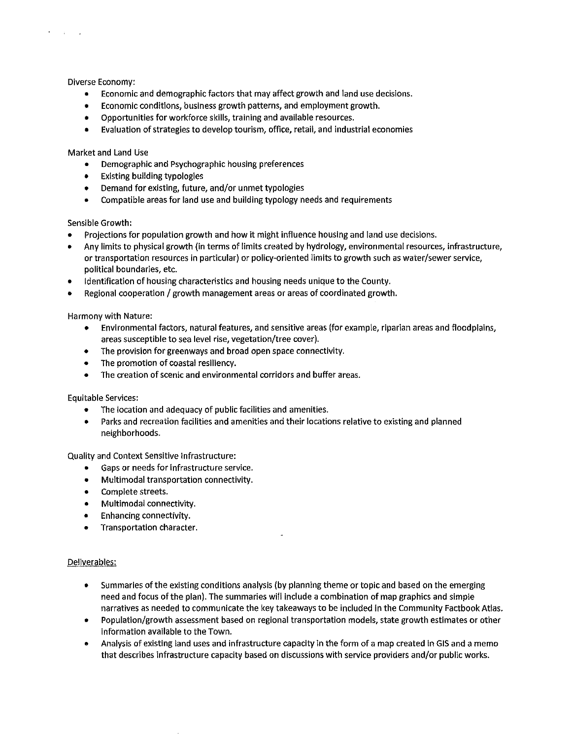Diverse Economy:

 $\mathbf{r}$ 

 $\sim 10^{-10}$  km

- Economic and demographic factors that may affect growth and land use decisions.
- Economic conditions, business growth patterns, and employment growth.
- Opportunities for workforce skills, training and available resources.
- Evaluation of strategies to develop tourism, office, retail, and industrial economies

Market and Land Use

- Demographic and Psychographic housing preferences
- Existing building typologies
- Demand for existing, future, and/or unmet typologies
- Compatible areas for land use and building typology needs and requirements

Sensible Growth:

- Projections for population growth and how it might influence housing and land use decisions.
- Any limits to physical growth (in terms of limits created by hydrology, environmental resources, infrastructure, or transportation resources in particular) or policy-oriented limits to growth such as water/sewer service, political boundaries, etc.
- Identification of housing characteristics and housing needs unique to the County.
- Regional cooperation / growth management areas or areas of coordinated growth.

Harmony with Nature:

- Environmental factors, natural features, and sensitive areas (for example, riparian areas and floodplains, areas susceptible to sea level rise, vegetation/tree cover).
- The provision for greenways and broad open space connectivity.
- The promotion of coastal reslliency.
- The creation of scenic and environmental corridors and buffer areas.

Equitable Services:

- The location and adequacy of public facilities and amenities.
- Parks and recreation facilities and amenities and their locations relative to existing and planned neighborhoods.

Quality and Context Sensitive Infrastructure:

- Gaps or needs for Infrastructure service.
- Multimodal transportation connectivity.
- Complete streets.
- Multimodal connectivity.
- Enhancing connectivity.
- Transportation character.

# Deliverables:

- Summaries of the existing conditions analysis (by planning theme or topic and based on the emerging need and focus of the plan). The summaries will include a combination of map graphics and simple narratives as needed to communicate the key takeaways to be included In the Community Factbook Atlas.
- Population/growth assessment based on regional transportation models, state growth estimates or other information available to the Town.
- Analysis of existing land uses and infrastructure capacity in the form of a map created in GIS and a memo that describes infrastructure capacity based on discussions with service providers and/or public works.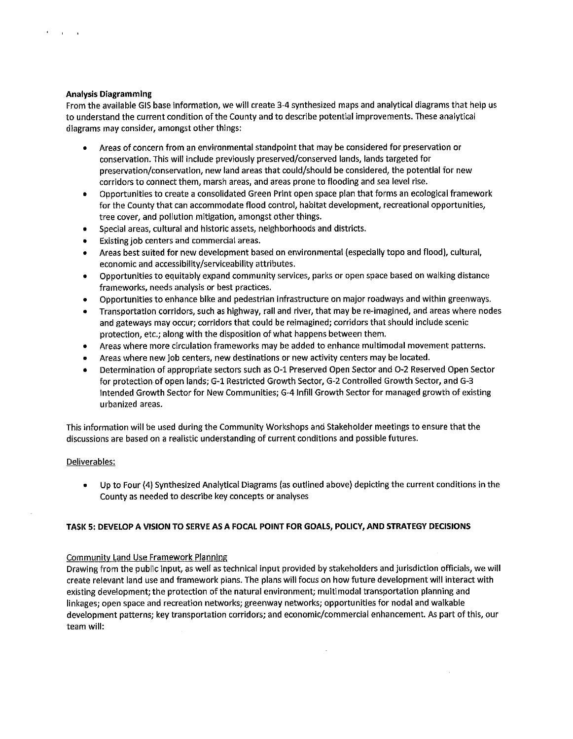#### **Analysis Diagramming**

 $\sim 10^{-10}$  km  $^{-1}$ 

From the available GIS base information, we will create 3-4 synthesized maps and analytical diagrams that help us to understand the current condition of the County and to describe potential improvements. These analytical diagrams may consider, amongst other things:

- Areas of concern from an environmental standpoint that may be considered for preservation or conservation. This will include previously preserved/conserved lands, lands targeted for preservation/conservation, new land areas that could/should be considered, the potential for new corridors to connect them, marsh areas, and areas prone to flooding and sea level rise.
- Opportunities to create a consolidated Green Print open space plan that forms an ecological framework for the County that can accommodate flood control, habitat development, recreational opportunities, tree cover, and pollution mitigation, amongst other things.
- Special areas, cultural and historic assets, neighborhoods and districts.
- Existing job centers and commercial areas.
- Areas best suited for new development based on environmental (especially topo and flood), cultural, economic and accessibility/serviceability attributes.
- Opportunities to equitably expand community services, parks or open space based on walking distance frameworks, needs analysis or best practices.
- Opportunities to enhance bike and pedestrian infrastructure on major roadways and within greenways.
- Transportation corridors, such as highway, rail and river, that may be re-imagined, and areas where nodes and gateways may occur; corridors that could be reimagined; corridors that should include scenic protection, etc.; along with the disposition of what happens between them.
- Areas where more circulation frameworks may be added to enhance multimodal movement patterns.
- Areas where new job centers, new destinations or new activity centers may be located.
- Determination of appropriate sectors such as 0-1 Preserved Open Sector and 0-2 Reserved Open Sector for protection of open lands; G-1 Restricted Growth Sector, G-2 Controlled Growth Sector, and G-3 Intended Growth Sector for New Communities; G-4 Infill Growth Sector for managed growth of existing urbanized areas.

This information will be used during the Community Workshops and Stakeholder meetings to ensure that the discussions are based on a realistic understanding of current conditions and possible futures.

# Deliverables:

• Up to Four (4) Synthesized Analytical Diagrams (as outlined above) depicting the current conditions in the County as needed to describe key concepts or analyses

# **TASK 5: DEVELOP A VISION TO SERVE AS A FOCAL POINT FOR GOALS, POLICY, AND STRATEGY DECISIONS**

# Community Land Use Framework Planning

Drawing from the public input, as well as technical input provided by stakeholders and jurisdiction officials, we will create relevant land use and framework plans. The plans will focus on how future development will interact with existing development; the protection of the natural environment; multimodal transportation planning and linkages; open space and recreation networks; greenway networks; opportunities for nodal and walkable development patterns; key transportation corridors; and economic/commercial enhancement. As part of this, our team will: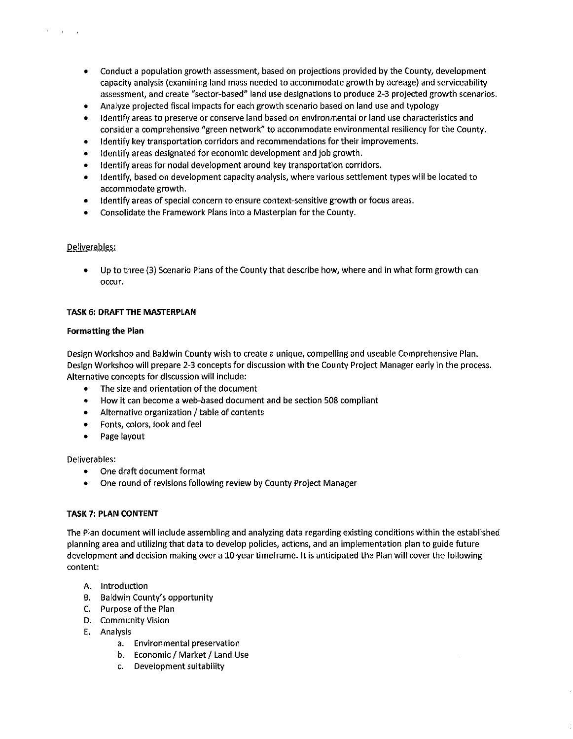- Conduct a population growth assessment, based on projections provided by the County, development capacity analysis (examining land mass needed to accommodate growth by acreage) and serviceability assessment, and create "sector-based" land use designations to produce 2-3 projected growth scenarios.
- Analyze projected fiscal impacts for each growth scenario based on land use and typology
- Identify areas to preserve or conserve land based on environmental or land use characteristics and consider a comprehensive "green network" to accommodate environmental resiliency for the County.
- Identify key transportation corridors and recommendations for their improvements.
- Identify areas designated for economic development and job growth.
- Identify areas for nodal development around key transportation corridors.
- Identify, based on development capacity analysis, where various settlement types will be located to accommodate growth.
- Identify areas of special concern to ensure context-sensitive growth or focus areas.
- Consolidate the Framework Plans into a Masterplan for the County.

# Deliverables:

 $\ddot{\phantom{a}}$ 

 $\mathbf{r} = \mathbf{r} - \mathbf{r}$ 

Up to three (3) Scenario Plans of the County that describe how, where and in what form growth can **occur.** 

#### **TASK 6: DRAFT THE MASTERPLAN**

#### **Formatting the Plan**

Design Workshop and Baldwin County wish to create a unique, compelling and useable Comprehensive Plan. Design Workshop will prepare 2-3 concepts for discussion with the County Project Manager early in the process. Alternative concepts for discussion will include:

- The size and orientation of the document
- How it can become a web-based document and be section 508 compliant
- $\bullet$  Alternative organization / table of contents
- Fonts, colors, look and feel
- Page layout

Deliverables:

- One draft document format
- One round of revisions following review by County Project Manager

# **TASK 7: PLAN CONTENT**

The Plan document will include assembling and analyzing data regarding existing conditions within the established planning area and utilizing that data to develop policies, actions, and an implementation plan to guide future development and decision making over a 10-year timeframe. It is anticipated the Plan will cover the following content:

- A. Introduction
- B. Baldwin County's opportunity
- C. Purpose of the Plan
- D. Community Vision
- E. Analysis
	- a. Environmental preservation
	- b. Economic / Market / Land Use
	- c. Development suitability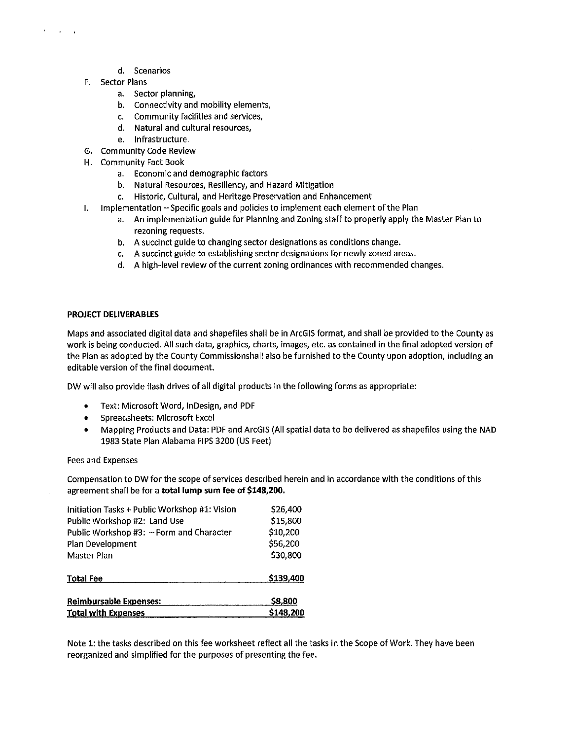- d. Scenarios
- F. Sector Plans

 $\mathbf{r}$  and  $\mathbf{r}$ 

- a. Sector planning,
- b. Connectivity and mobility elements,
- c. Community facilities and services,
- d. Natural and cultural resources,
- e. Infrastructure.
- G. Community Code Review
- H. Community Fact Book
	- a. Economic and demographic factors
	- b. Natural Resources, Resiliency, and Hazard Mitigation
	- c. Historic, Cultural, and Heritage Preservation and Enhancement
- I. Implementation Specific goals and policies to implement each element of the Plan
	- a. An implementation guide for Planning and Zoning staff to properly apply the Master Plan to rezoning requests.
	- b. A succinct guide to changing sector designations as conditions change.
	- c. A succinct guide to establishing sector designations for newly zoned areas.
	- d. A high-level review of the current zoning ordinances with recommended changes.

#### PROJECT DELIVERABLES

Maps and associated digital data and shapefiles shall be in ArcGIS format, and shall be provided to the County as work is being conducted. All such data, graphics, charts, images, etc. as contained in the final adopted version of the Plan as adopted by the County Commissionshall also be furnished to the County upon adoption, including an editable version of the final document.

DW will also provide flash drives of all digital products in the following forms as appropriate:

- Text: Microsoft Word, lnDesign, and PDF
- Spreadsheets: Microsoft Excel
- Mapping Products and Data: PDF and ArcGIS (All spatial data to be delivered as shapefiles using the NAO 1983 State Plan Alabama FIPS 3200 (US Feet)

#### Fees and Expenses

Compensation to DW for the scope of services described herein and in accordance with the conditions of this agreement shall be for a total lump sum fee of \$148,200.

| Initiation Tasks + Public Workshop #1: Vision | \$26,400  |
|-----------------------------------------------|-----------|
| Public Workshop #2: Land Use                  | \$15,800  |
| Public Workshop #3: - Form and Character      | \$10,200  |
| Plan Development                              | \$56,200  |
| Master Plan                                   | \$30,800  |
| <b>Total Fee</b>                              | \$139,400 |
| <b>Reimbursable Expenses:</b>                 | \$8,800   |
| <b>Total with Expenses</b>                    | \$148,200 |

Note 1: the tasks described on this fee worksheet reflect all the tasks in the Scope of Work. They have been reorganized and simplified for the purposes of presenting the fee.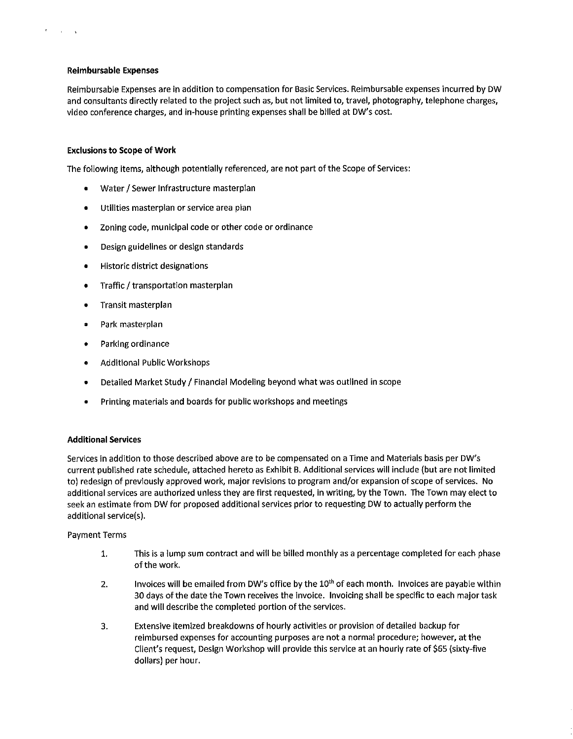#### Reimbursable Expenses

**Carl Carl** 

Reimbursable Expenses are in addition to compensation for Basic Services. Reimbursable expenses incurred by DW and consultants directly related to the project such as, but not limited to, travel, photography, telephone charges, video conference charges, and in-house printing expenses shall be billed at DW's cost.

#### Exclusions to Scope of Work

The following items, although potentially referenced, are not part of the Scope of Services:

- Water / Sewer Infrastructure masterplan
- Utilities masterplan or service area plan
- Zoning code, municipal code or other code or ordinance
- Design guidelines or design standards
- Historic district designations
- Traffic / transportation masterplan
- Transit masterplan
- Park masterplan
- Parking ordinance
- Additional Public Workshops
- Detailed Market Study / Financial Modeling beyond what was outlined in scope
- Printing materials and boards for public workshops and meetings

#### Additional Services

Services in addition to those described above are to be compensated on a Time and Materials basis per DW's current published rate schedule, attached hereto as Exhibit B. Additional services will include (but are not limited to) redesign of previously approved work, major revisions to program and/or expansion of scope of services. No additional services are authorized unless they are first requested, in writing, by the Town. The Town may elect to seek an estimate from DW for proposed additional services prior to requesting DW to actually perform the additional service(s).

#### Payment Terms

- 1. This is a lump sum contract and will be billed monthly as a percentage completed for each phase of the work.
- 2. Invoices will be emailed from DW's office by the  $10<sup>th</sup>$  of each month. Invoices are payable within 30 days of the date the Town receives the invoice. Invoicing shall be specific to each major task and will describe the completed portion of the services.
- 3. Extensive itemized breakdowns of hourly activities or provision of detailed backup for reimbursed expenses for accounting purposes are not a normal procedure; however, at the Client's request, Design Workshop will provide this service at an hourly rate of \$65 (sixty-five dollars) per hour.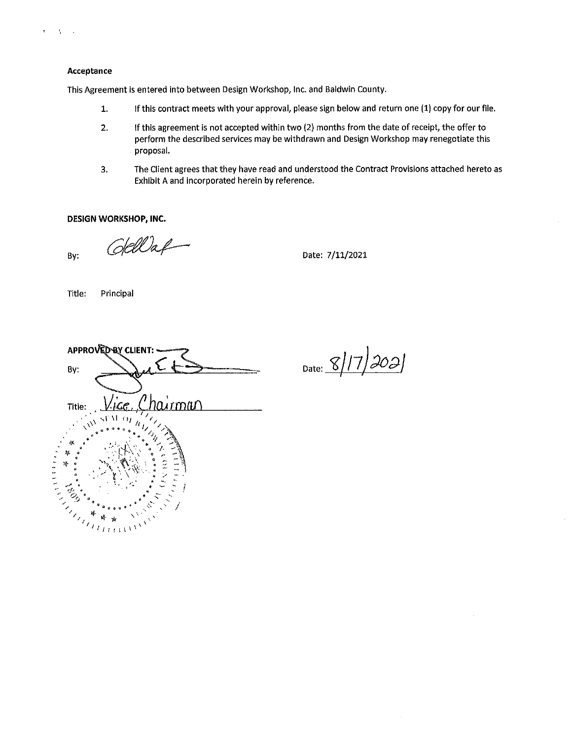

 $\mathbf{t} = -\mathbf{t}_\mathrm{F} + \mathbf{t}_\mathrm{F}$ 

This Agreement is entered into between Design Workshop, Inc. and Baldwin County.

- 1. If this contract meets with your approval, please sign below and return one (1) copy for our file.
- 2. If this agreement is not accepted within two (2) months from the date of receipt, the offer to perform the described services may be withdrawn and Design Workshop may renegotiate this proposal.
- 3. The Client agrees that they have read and understood the Contract Provisions attached hereto as Exhibit A and Incorporated herein by reference.

**DESIGN WORKSHOP, INC.** 

 $B_y:$   $GellA$   $Date: 7/11/2021$ 

Title: Principal

| APPROVED BY CLIENT:                                                                                                                                                                                                                   |
|---------------------------------------------------------------------------------------------------------------------------------------------------------------------------------------------------------------------------------------|
| By:                                                                                                                                                                                                                                   |
|                                                                                                                                                                                                                                       |
| <u>hairman</u><br>'ce. ('<br>Title:                                                                                                                                                                                                   |
| $\epsilon_{\ell_2}$<br>11)                                                                                                                                                                                                            |
| $\phi_{\vec{q}}$                                                                                                                                                                                                                      |
| y.                                                                                                                                                                                                                                    |
|                                                                                                                                                                                                                                       |
| to.                                                                                                                                                                                                                                   |
| the Contract of the Contract of the Contract of the Contract of the Contract of the Contract of The Contract o<br>Contract of the Contract of the Contract of the Contract of the Contract of the Contract of the Contract of Th<br>瘦 |
|                                                                                                                                                                                                                                       |

Date:  $8/17/302$